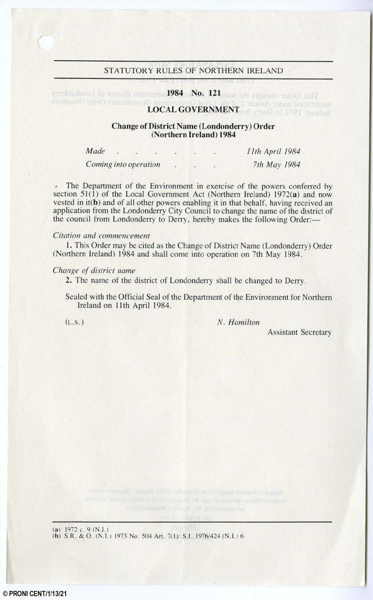# STATUTORY RULES OF NORTHERN IRELAND

ensbrobers I to minist insurany 1984 No. 121mmg adi assumib rainO sidT

# LOCAL GOVERNMENT

## Change of District Name (Londonderry) Order (Northern Ireland) 1984

*Made* 

/

*Coming into operation* 

*11th April 1984 7th May 1984* 

The Department of the Environment in exercise of the powers conferred by section  $51(1)$  of the Local Government Act (Northern Ireland) 1972(a) and now vested in it(b) and of all other powers enabling it in that behalf, having received an application from the Londonderry City Council to change the name of the district of the council from Londonderry to Derry, hereby makes the following Order:—

## *Citarioll and commencement*

1. This Order may be cited as the Change of District Name (Londonderry) Order (Northern Ireland) 1984 and shall come into operation on 7th May 1984.

## *Change of district name*

2. The name of the district of Londonderry shall be changed to Derry.

Sealed with the Official Seal of the Department of the Environment for Northern Ireland on 11th April 1984.

(L.s.) *N. Hamilton* 

Assistant Secretary